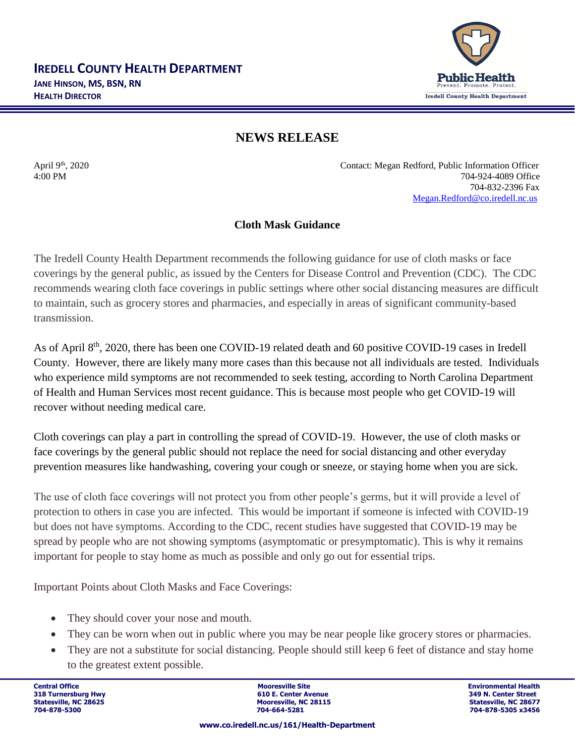

## **NEWS RELEASE**

April 9<sup>th</sup>, 2020 Contact: Megan Redford, Public Information Officer 4:00 PM 704-924-4089 Office 704-832-2396 Fax [Megan.Redford@co.iredell.nc.us](mailto:Megan.Redford@co.iredell.nc.us)

## **Cloth Mask Guidance**

The Iredell County Health Department recommends the following guidance for use of cloth masks or face coverings by the general public, as issued by the Centers for Disease Control and Prevention (CDC). The CDC recommends wearing cloth face coverings in public settings where other social distancing measures are difficult to maintain, such as grocery stores and pharmacies, and especially in areas of significant community-based transmission.

As of April 8<sup>th</sup>, 2020, there has been one COVID-19 related death and 60 positive COVID-19 cases in Iredell County. However, there are likely many more cases than this because not all individuals are tested. Individuals who experience mild symptoms are not recommended to seek testing, according to North Carolina Department of Health and Human Services most recent guidance. This is because most people who get COVID-19 will recover without needing medical care.

Cloth coverings can play a part in controlling the spread of COVID-19. However, the use of cloth masks or face coverings by the general public should not replace the need for social distancing and other everyday prevention measures like handwashing, covering your cough or sneeze, or staying home when you are sick.

The use of cloth face coverings will not protect you from other people's germs, but it will provide a level of protection to others in case you are infected. This would be important if someone is infected with COVID-19 but does not have symptoms. According to the CDC, recent studies have suggested that COVID-19 may be spread by people who are not showing symptoms (asymptomatic or presymptomatic). This is why it remains important for people to stay home as much as possible and only go out for essential trips.

Important Points about Cloth Masks and Face Coverings:

- They should cover your nose and mouth.
- They can be worn when out in public where you may be near people like grocery stores or pharmacies.
- They are not a substitute for social distancing. People should still keep 6 feet of distance and stay home to the greatest extent possible.

**Central Office Mooresville Site Environmental Health 318 Turnersburg Hwy 610 E. Center Avenue 349 N. Center Street Statesville, NC 28115**<br> **Statesville, NC 28677**<br> **Statesville, NC 28677**<br> **STATES 28156**<br> **STATES 28456 704-878-5300 704-664-5281 704-878-5305 x3456**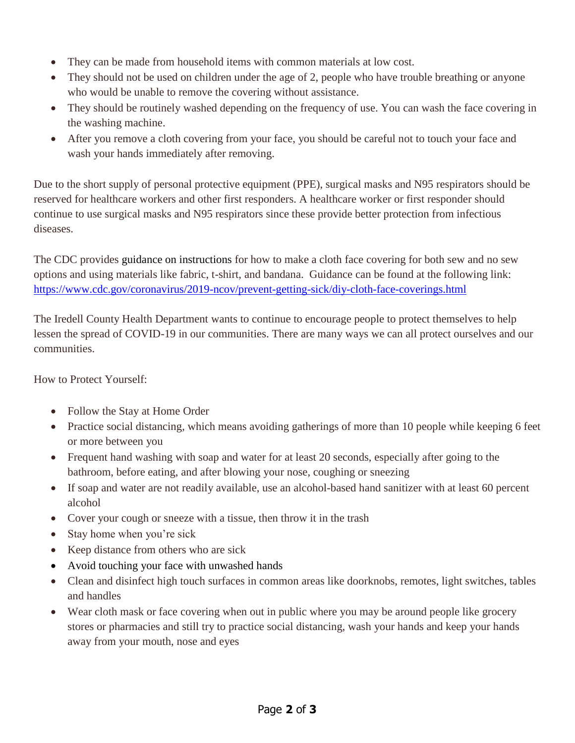- They can be made from household items with common materials at low cost.
- They should not be used on children under the age of 2, people who have trouble breathing or anyone who would be unable to remove the covering without assistance.
- They should be routinely washed depending on the frequency of use. You can wash the face covering in the washing machine.
- After you remove a cloth covering from your face, you should be careful not to touch your face and wash your hands immediately after removing.

Due to the short supply of personal protective equipment (PPE), surgical masks and N95 respirators should be reserved for healthcare workers and other first responders. A healthcare worker or first responder should continue to use surgical masks and N95 respirators since these provide better protection from infectious diseases.

The CDC provides guidance on [instructions](https://www.cdc.gov/coronavirus/2019-ncov/prevent-getting-sick/diy-cloth-face-coverings.html) for how to make a cloth face covering for both sew and no sew options and using materials like fabric, t-shirt, and bandana. Guidance can be found at the following link: <https://www.cdc.gov/coronavirus/2019-ncov/prevent-getting-sick/diy-cloth-face-coverings.html>

The Iredell County Health Department wants to continue to encourage people to protect themselves to help lessen the spread of COVID-19 in our communities. There are many ways we can all protect ourselves and our communities.

How to Protect Yourself:

- Follow the Stay at Home Order
- Practice social distancing, which means avoiding gatherings of more than 10 people while keeping 6 feet or more between you
- Frequent hand washing with soap and water for at least 20 seconds, especially after going to the bathroom, before eating, and after blowing your nose, coughing or sneezing
- If soap and water are not readily available, use an alcohol-based hand sanitizer with at least 60 percent alcohol
- Cover your cough or sneeze with a tissue, then throw it in the trash
- Stay home when you're sick
- Keep distance from others who are sick
- Avoid touching your face with unwashed hands
- Clean and disinfect high touch surfaces in common areas like doorknobs, remotes, light switches, tables and handles
- Wear cloth mask or face covering when out in public where you may be around people like grocery stores or pharmacies and still try to practice social distancing, wash your hands and keep your hands away from your mouth, nose and eyes